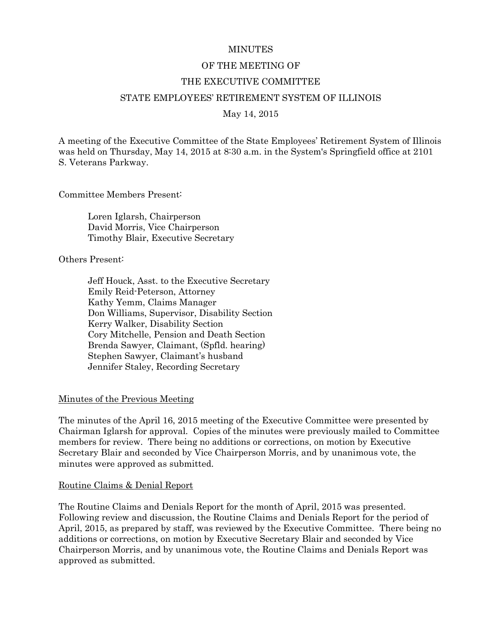#### **MINUTES**

### OF THE MEETING OF

#### THE EXECUTIVE COMMITTEE

#### STATE EMPLOYEES' RETIREMENT SYSTEM OF ILLINOIS

#### May 14, 2015

A meeting of the Executive Committee of the State Employees' Retirement System of Illinois was held on Thursday, May 14, 2015 at 8:30 a.m. in the System's Springfield office at 2101 S. Veterans Parkway.

Committee Members Present:

Loren Iglarsh, Chairperson David Morris, Vice Chairperson Timothy Blair, Executive Secretary

Others Present:

Jeff Houck, Asst. to the Executive Secretary Emily Reid-Peterson, Attorney Kathy Yemm, Claims Manager Don Williams, Supervisor, Disability Section Kerry Walker, Disability Section Cory Mitchelle, Pension and Death Section Brenda Sawyer, Claimant, (Spfld. hearing) Stephen Sawyer, Claimant's husband Jennifer Staley, Recording Secretary

### Minutes of the Previous Meeting

The minutes of the April 16, 2015 meeting of the Executive Committee were presented by Chairman Iglarsh for approval. Copies of the minutes were previously mailed to Committee members for review. There being no additions or corrections, on motion by Executive Secretary Blair and seconded by Vice Chairperson Morris, and by unanimous vote, the minutes were approved as submitted.

#### Routine Claims & Denial Report

The Routine Claims and Denials Report for the month of April, 2015 was presented. Following review and discussion, the Routine Claims and Denials Report for the period of April, 2015, as prepared by staff, was reviewed by the Executive Committee. There being no additions or corrections, on motion by Executive Secretary Blair and seconded by Vice Chairperson Morris, and by unanimous vote, the Routine Claims and Denials Report was approved as submitted.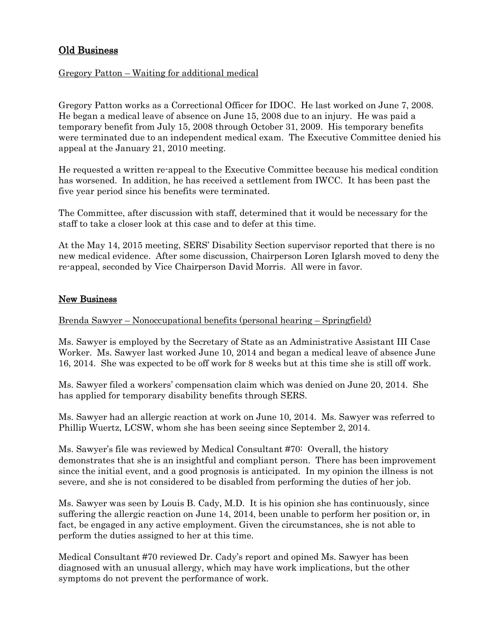# Old Business

## Gregory Patton – Waiting for additional medical

Gregory Patton works as a Correctional Officer for IDOC. He last worked on June 7, 2008. He began a medical leave of absence on June 15, 2008 due to an injury. He was paid a temporary benefit from July 15, 2008 through October 31, 2009. His temporary benefits were terminated due to an independent medical exam. The Executive Committee denied his appeal at the January 21, 2010 meeting.

He requested a written re-appeal to the Executive Committee because his medical condition has worsened. In addition, he has received a settlement from IWCC. It has been past the five year period since his benefits were terminated.

The Committee, after discussion with staff, determined that it would be necessary for the staff to take a closer look at this case and to defer at this time.

At the May 14, 2015 meeting, SERS' Disability Section supervisor reported that there is no new medical evidence. After some discussion, Chairperson Loren Iglarsh moved to deny the re-appeal, seconded by Vice Chairperson David Morris. All were in favor.

## New Business

### Brenda Sawyer – Nonoccupational benefits (personal hearing – Springfield)

Ms. Sawyer is employed by the Secretary of State as an Administrative Assistant III Case Worker. Ms. Sawyer last worked June 10, 2014 and began a medical leave of absence June 16, 2014. She was expected to be off work for 8 weeks but at this time she is still off work.

Ms. Sawyer filed a workers' compensation claim which was denied on June 20, 2014. She has applied for temporary disability benefits through SERS.

Ms. Sawyer had an allergic reaction at work on June 10, 2014. Ms. Sawyer was referred to Phillip Wuertz, LCSW, whom she has been seeing since September 2, 2014.

Ms. Sawyer's file was reviewed by Medical Consultant #70: Overall, the history demonstrates that she is an insightful and compliant person. There has been improvement since the initial event, and a good prognosis is anticipated. In my opinion the illness is not severe, and she is not considered to be disabled from performing the duties of her job.

Ms. Sawyer was seen by Louis B. Cady, M.D. It is his opinion she has continuously, since suffering the allergic reaction on June 14, 2014, been unable to perform her position or, in fact, be engaged in any active employment. Given the circumstances, she is not able to perform the duties assigned to her at this time.

Medical Consultant #70 reviewed Dr. Cady's report and opined Ms. Sawyer has been diagnosed with an unusual allergy, which may have work implications, but the other symptoms do not prevent the performance of work.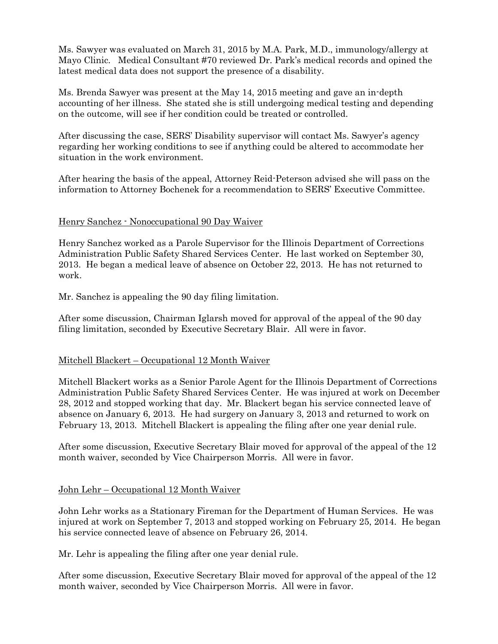Ms. Sawyer was evaluated on March 31, 2015 by M.A. Park, M.D., immunology/allergy at Mayo Clinic. Medical Consultant #70 reviewed Dr. Park's medical records and opined the latest medical data does not support the presence of a disability.

Ms. Brenda Sawyer was present at the May 14, 2015 meeting and gave an in-depth accounting of her illness. She stated she is still undergoing medical testing and depending on the outcome, will see if her condition could be treated or controlled.

After discussing the case, SERS' Disability supervisor will contact Ms. Sawyer's agency regarding her working conditions to see if anything could be altered to accommodate her situation in the work environment.

After hearing the basis of the appeal, Attorney Reid-Peterson advised she will pass on the information to Attorney Bochenek for a recommendation to SERS' Executive Committee.

### Henry Sanchez - Nonoccupational 90 Day Waiver

Henry Sanchez worked as a Parole Supervisor for the Illinois Department of Corrections Administration Public Safety Shared Services Center. He last worked on September 30, 2013. He began a medical leave of absence on October 22, 2013. He has not returned to work.

Mr. Sanchez is appealing the 90 day filing limitation.

After some discussion, Chairman Iglarsh moved for approval of the appeal of the 90 day filing limitation, seconded by Executive Secretary Blair. All were in favor.

### Mitchell Blackert – Occupational 12 Month Waiver

Mitchell Blackert works as a Senior Parole Agent for the Illinois Department of Corrections Administration Public Safety Shared Services Center. He was injured at work on December 28, 2012 and stopped working that day. Mr. Blackert began his service connected leave of absence on January 6, 2013. He had surgery on January 3, 2013 and returned to work on February 13, 2013. Mitchell Blackert is appealing the filing after one year denial rule.

After some discussion, Executive Secretary Blair moved for approval of the appeal of the 12 month waiver, seconded by Vice Chairperson Morris. All were in favor.

### John Lehr – Occupational 12 Month Waiver

John Lehr works as a Stationary Fireman for the Department of Human Services. He was injured at work on September 7, 2013 and stopped working on February 25, 2014. He began his service connected leave of absence on February 26, 2014.

Mr. Lehr is appealing the filing after one year denial rule.

After some discussion, Executive Secretary Blair moved for approval of the appeal of the 12 month waiver, seconded by Vice Chairperson Morris. All were in favor.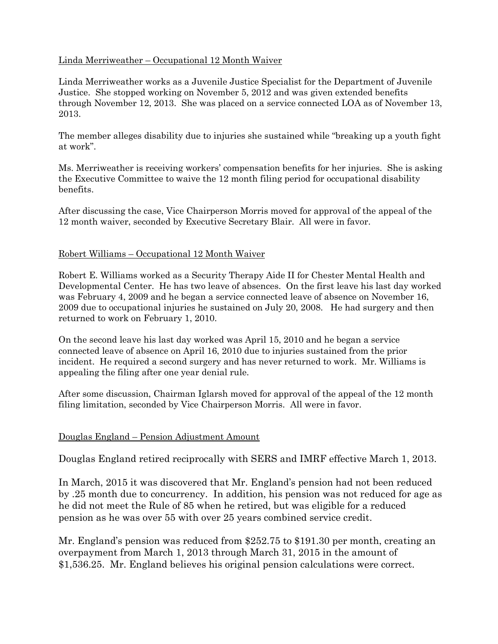## Linda Merriweather – Occupational 12 Month Waiver

Linda Merriweather works as a Juvenile Justice Specialist for the Department of Juvenile Justice. She stopped working on November 5, 2012 and was given extended benefits through November 12, 2013. She was placed on a service connected LOA as of November 13, 2013.

The member alleges disability due to injuries she sustained while "breaking up a youth fight at work".

Ms. Merriweather is receiving workers' compensation benefits for her injuries. She is asking the Executive Committee to waive the 12 month filing period for occupational disability benefits.

After discussing the case, Vice Chairperson Morris moved for approval of the appeal of the 12 month waiver, seconded by Executive Secretary Blair. All were in favor.

## Robert Williams – Occupational 12 Month Waiver

Robert E. Williams worked as a Security Therapy Aide II for Chester Mental Health and Developmental Center. He has two leave of absences. On the first leave his last day worked was February 4, 2009 and he began a service connected leave of absence on November 16, 2009 due to occupational injuries he sustained on July 20, 2008. He had surgery and then returned to work on February 1, 2010.

On the second leave his last day worked was April 15, 2010 and he began a service connected leave of absence on April 16, 2010 due to injuries sustained from the prior incident. He required a second surgery and has never returned to work. Mr. Williams is appealing the filing after one year denial rule.

After some discussion, Chairman Iglarsh moved for approval of the appeal of the 12 month filing limitation, seconded by Vice Chairperson Morris. All were in favor.

## Douglas England – Pension Adjustment Amount

Douglas England retired reciprocally with SERS and IMRF effective March 1, 2013.

In March, 2015 it was discovered that Mr. England's pension had not been reduced by .25 month due to concurrency. In addition, his pension was not reduced for age as he did not meet the Rule of 85 when he retired, but was eligible for a reduced pension as he was over 55 with over 25 years combined service credit.

Mr. England's pension was reduced from \$252.75 to \$191.30 per month, creating an overpayment from March 1, 2013 through March 31, 2015 in the amount of \$1,536.25. Mr. England believes his original pension calculations were correct.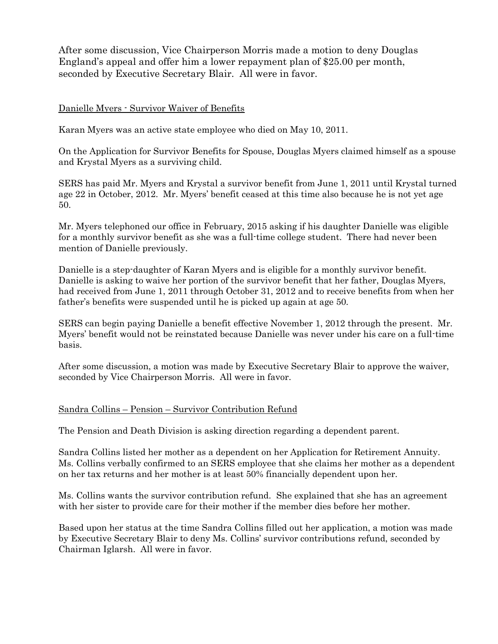After some discussion, Vice Chairperson Morris made a motion to deny Douglas England's appeal and offer him a lower repayment plan of \$25.00 per month, seconded by Executive Secretary Blair. All were in favor.

### Danielle Myers - Survivor Waiver of Benefits

Karan Myers was an active state employee who died on May 10, 2011.

On the Application for Survivor Benefits for Spouse, Douglas Myers claimed himself as a spouse and Krystal Myers as a surviving child.

SERS has paid Mr. Myers and Krystal a survivor benefit from June 1, 2011 until Krystal turned age 22 in October, 2012. Mr. Myers' benefit ceased at this time also because he is not yet age 50.

Mr. Myers telephoned our office in February, 2015 asking if his daughter Danielle was eligible for a monthly survivor benefit as she was a full-time college student. There had never been mention of Danielle previously.

Danielle is a step-daughter of Karan Myers and is eligible for a monthly survivor benefit. Danielle is asking to waive her portion of the survivor benefit that her father, Douglas Myers, had received from June 1, 2011 through October 31, 2012 and to receive benefits from when her father's benefits were suspended until he is picked up again at age 50.

SERS can begin paying Danielle a benefit effective November 1, 2012 through the present. Mr. Myers' benefit would not be reinstated because Danielle was never under his care on a full-time basis.

After some discussion, a motion was made by Executive Secretary Blair to approve the waiver, seconded by Vice Chairperson Morris. All were in favor.

### Sandra Collins – Pension – Survivor Contribution Refund

The Pension and Death Division is asking direction regarding a dependent parent.

Sandra Collins listed her mother as a dependent on her Application for Retirement Annuity. Ms. Collins verbally confirmed to an SERS employee that she claims her mother as a dependent on her tax returns and her mother is at least 50% financially dependent upon her.

Ms. Collins wants the survivor contribution refund. She explained that she has an agreement with her sister to provide care for their mother if the member dies before her mother.

Based upon her status at the time Sandra Collins filled out her application, a motion was made by Executive Secretary Blair to deny Ms. Collins' survivor contributions refund, seconded by Chairman Iglarsh. All were in favor.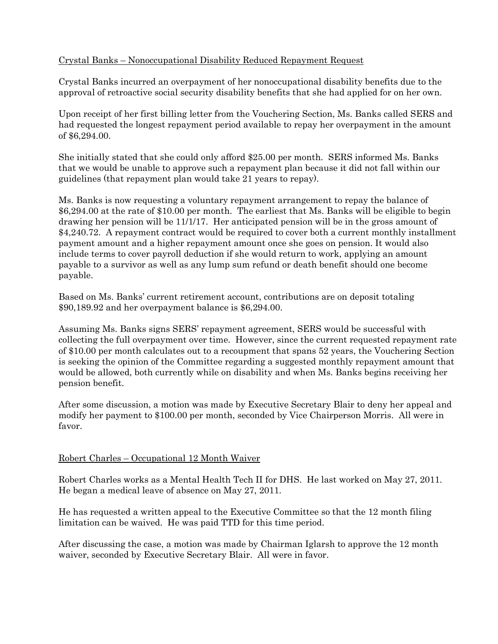## Crystal Banks – Nonoccupational Disability Reduced Repayment Request

Crystal Banks incurred an overpayment of her nonoccupational disability benefits due to the approval of retroactive social security disability benefits that she had applied for on her own.

Upon receipt of her first billing letter from the Vouchering Section, Ms. Banks called SERS and had requested the longest repayment period available to repay her overpayment in the amount of \$6,294.00.

She initially stated that she could only afford \$25.00 per month. SERS informed Ms. Banks that we would be unable to approve such a repayment plan because it did not fall within our guidelines (that repayment plan would take 21 years to repay).

Ms. Banks is now requesting a voluntary repayment arrangement to repay the balance of \$6,294.00 at the rate of \$10.00 per month. The earliest that Ms. Banks will be eligible to begin drawing her pension will be 11/1/17. Her anticipated pension will be in the gross amount of \$4,240.72. A repayment contract would be required to cover both a current monthly installment payment amount and a higher repayment amount once she goes on pension. It would also include terms to cover payroll deduction if she would return to work, applying an amount payable to a survivor as well as any lump sum refund or death benefit should one become payable.

Based on Ms. Banks' current retirement account, contributions are on deposit totaling \$90,189.92 and her overpayment balance is \$6,294.00.

Assuming Ms. Banks signs SERS' repayment agreement, SERS would be successful with collecting the full overpayment over time. However, since the current requested repayment rate of \$10.00 per month calculates out to a recoupment that spans 52 years, the Vouchering Section is seeking the opinion of the Committee regarding a suggested monthly repayment amount that would be allowed, both currently while on disability and when Ms. Banks begins receiving her pension benefit.

After some discussion, a motion was made by Executive Secretary Blair to deny her appeal and modify her payment to \$100.00 per month, seconded by Vice Chairperson Morris. All were in favor.

## Robert Charles – Occupational 12 Month Waiver

Robert Charles works as a Mental Health Tech II for DHS. He last worked on May 27, 2011. He began a medical leave of absence on May 27, 2011.

He has requested a written appeal to the Executive Committee so that the 12 month filing limitation can be waived. He was paid TTD for this time period.

After discussing the case, a motion was made by Chairman Iglarsh to approve the 12 month waiver, seconded by Executive Secretary Blair. All were in favor.